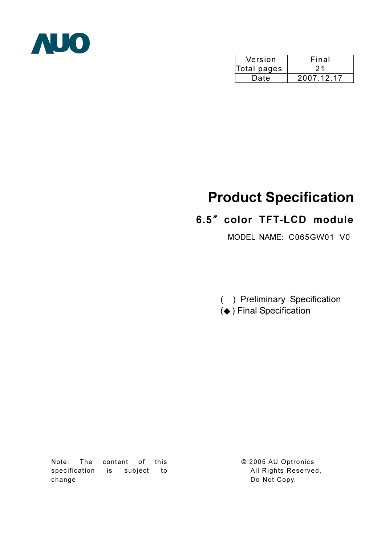

| Version     | Final      |
|-------------|------------|
| Total pages |            |
| Date        | 2007.12.17 |

# Product Specification

## 6.5" color TFT-LCD module

MODEL NAME: C065GW01 V0

( ) Preliminary Specification  $($   $\blacklozenge$   $)$  Final Specification

Note: The content of this specification is subject to change.

© 2005 AU Optronics All Rights Reserved, Do Not Copy.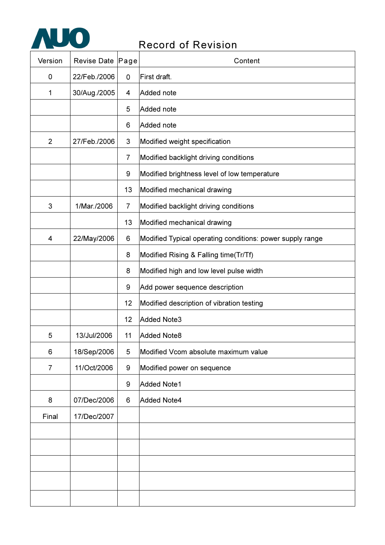

## Record of Revision

| Version        | Revise Date   Page |                | Content                                                   |
|----------------|--------------------|----------------|-----------------------------------------------------------|
| 0              | 22/Feb./2006       | 0              | First draft.                                              |
| 1              | 30/Aug./2005       | 4              | Added note                                                |
|                |                    | 5              | Added note                                                |
|                |                    | 6              | Added note                                                |
| $\overline{2}$ | 27/Feb./2006       | 3              | Modified weight specification                             |
|                |                    | $\overline{7}$ | Modified backlight driving conditions                     |
|                |                    | 9              | Modified brightness level of low temperature              |
|                |                    | 13             | Modified mechanical drawing                               |
| 3              | 1/Mar./2006        | 7              | Modified backlight driving conditions                     |
|                |                    | 13             | Modified mechanical drawing                               |
| 4              | 22/May/2006        | 6              | Modified Typical operating conditions: power supply range |
|                |                    | 8              | Modified Rising & Falling time(Tr/Tf)                     |
|                |                    | 8              | Modified high and low level pulse width                   |
|                |                    | 9              | Add power sequence description                            |
|                |                    | 12             | Modified description of vibration testing                 |
|                |                    | 12             | <b>Added Note3</b>                                        |
| 5              | 13/Jul/2006        | 11             | <b>Added Note8</b>                                        |
| 6              | 18/Sep/2006        | 5              | Modified Vcom absolute maximum value                      |
| $\overline{7}$ | 11/Oct/2006        | 9              | Modified power on sequence                                |
|                |                    | 9              | <b>Added Note1</b>                                        |
| 8              | 07/Dec/2006        | 6              | <b>Added Note4</b>                                        |
| Final          | 17/Dec/2007        |                |                                                           |
|                |                    |                |                                                           |
|                |                    |                |                                                           |
|                |                    |                |                                                           |
|                |                    |                |                                                           |
|                |                    |                |                                                           |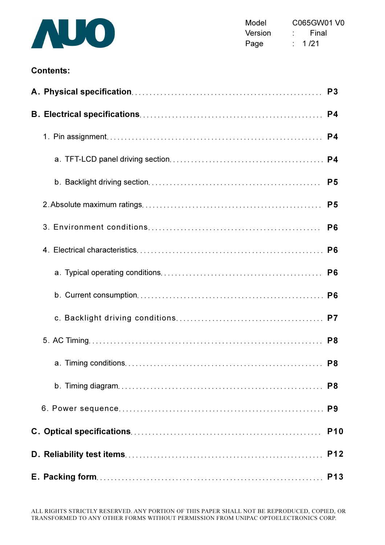

Model C065GW01 V0 Version : Final Page : 1/21

### Contents:

|  | P <sub>3</sub> |
|--|----------------|
|  | P <sub>4</sub> |
|  | P4             |
|  |                |
|  | P <sub>5</sub> |
|  | P <sub>5</sub> |
|  | P <sub>6</sub> |
|  |                |
|  | P <sub>6</sub> |
|  |                |
|  |                |
|  |                |
|  | P <sub>8</sub> |
|  |                |
|  |                |
|  | <b>P10</b>     |
|  | <b>P12</b>     |
|  | <b>P13</b>     |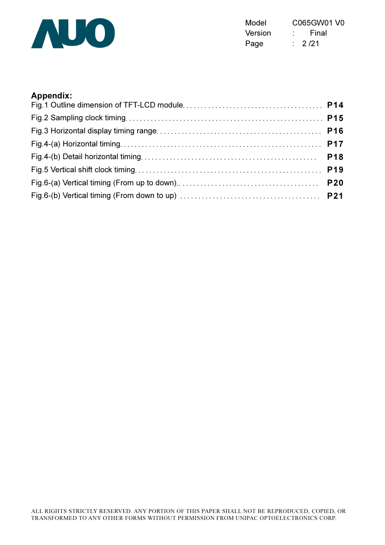

Model C065GW01 V0 Version : Final Page : 2/21

#### Appendix: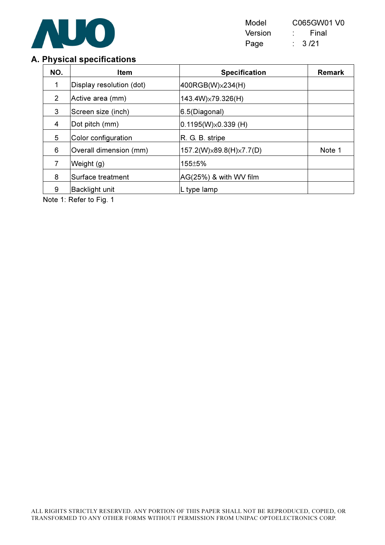

| Model   | C065GW01 V0 |
|---------|-------------|
| Version | Final       |
| Page    | 3/21        |

## A. Physical specifications

| NO.            | <b>Item</b>              | <b>Specification</b>        | <b>Remark</b> |
|----------------|--------------------------|-----------------------------|---------------|
| 1              | Display resolution (dot) | 400RGB(W)x234(H)            |               |
| $\overline{2}$ | Active area (mm)         | 143.4W)×79.326(H)           |               |
| 3              | Screen size (inch)       | 6.5(Diagonal)               |               |
| 4              | Dot pitch (mm)           | $0.1195(W)\times 0.339(H)$  |               |
| 5              | Color configuration      | R. G. B. stripe             |               |
| 6              | Overall dimension (mm)   | 157.2(W) × 89.8(H) × 7.7(D) | Note 1        |
| 7              | Weight (g)               | 155±5%                      |               |
| 8              | Surface treatment        | AG(25%) & with WV film      |               |
| 9              | <b>Backlight unit</b>    | L type lamp                 |               |

Note 1: Refer to Fig. 1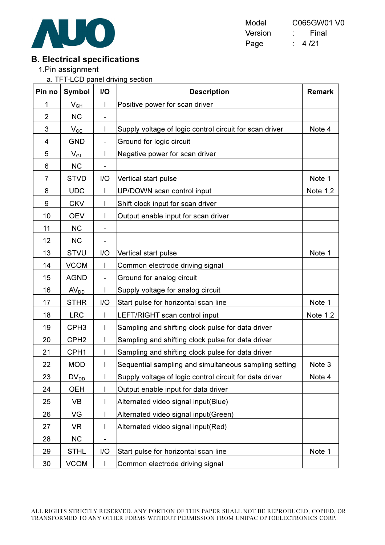

| Model   | C065GW01 V0 |
|---------|-------------|
| Version | Final       |
| Page    | 4 /21       |

## B. Electrical specifications

1.Pin assignment

a. TFT-LCD panel driving section

| Pin no         | <b>Symbol</b>              | I/O                      | <b>Description</b>                                      | <b>Remark</b> |
|----------------|----------------------------|--------------------------|---------------------------------------------------------|---------------|
| 1              | $V_{GH}$                   | $\mathbf{I}$             | Positive power for scan driver                          |               |
| $\overline{2}$ | <b>NC</b>                  | $\blacksquare$           |                                                         |               |
| 3              | $V_{C\underline{C}}$       | L                        | Supply voltage of logic control circuit for scan driver | Note 4        |
| 4              | <b>GND</b>                 | $\overline{\phantom{a}}$ | Ground for logic circuit                                |               |
| 5              | $\mathsf{V}_{\mathsf{GL}}$ |                          | Negative power for scan driver                          |               |
| 6              | <b>NC</b>                  |                          |                                                         |               |
| 7              | <b>STVD</b>                | I/O                      | Vertical start pulse                                    | Note 1        |
| 8              | <b>UDC</b>                 |                          | UP/DOWN scan control input                              | Note $1,2$    |
| 9              | <b>CKV</b>                 |                          | Shift clock input for scan driver                       |               |
| 10             | <b>OEV</b>                 |                          | Output enable input for scan driver                     |               |
| 11             | <b>NC</b>                  |                          |                                                         |               |
| 12             | <b>NC</b>                  | -                        |                                                         |               |
| 13             | <b>STVU</b>                | I/O                      | Vertical start pulse                                    | Note 1        |
| 14             | <b>VCOM</b>                | $\mathbf{I}$             | Common electrode driving signal                         |               |
| 15             | <b>AGND</b>                | $\blacksquare$           | Ground for analog circuit                               |               |
| 16             | AV <sub>DD</sub>           |                          | Supply voltage for analog circuit                       |               |
| 17             | <b>STHR</b>                | I/O                      | Start pulse for horizontal scan line                    | Note 1        |
| 18             | <b>LRC</b>                 |                          | LEFT/RIGHT scan control input                           | Note $1,2$    |
| 19             | CPH <sub>3</sub>           |                          | Sampling and shifting clock pulse for data driver       |               |
| 20             | CPH <sub>2</sub>           | L                        | Sampling and shifting clock pulse for data driver       |               |
| 21             | CPH <sub>1</sub>           |                          | Sampling and shifting clock pulse for data driver       |               |
| 22             | <b>MOD</b>                 |                          | Sequential sampling and simultaneous sampling setting   | Note 3        |
| 23             | $DV_{DD}$                  | L                        | Supply voltage of logic control circuit for data driver | Note 4        |
| 24             | <b>OEH</b>                 |                          | Output enable input for data driver                     |               |
| 25             | VB                         |                          | Alternated video signal input(Blue)                     |               |
| 26             | VG                         |                          | Alternated video signal input(Green)                    |               |
| 27             | VR.                        |                          | Alternated video signal input(Red)                      |               |
| 28             | <b>NC</b>                  | $\blacksquare$           |                                                         |               |
| 29             | <b>STHL</b>                | I/O                      | Start pulse for horizontal scan line                    | Note 1        |
| 30             | <b>VCOM</b>                |                          | Common electrode driving signal                         |               |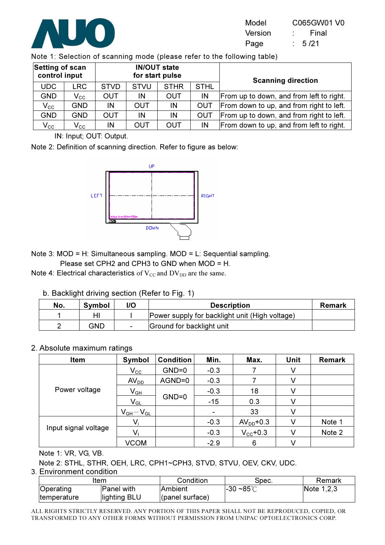

| Model   | C065GW01 V0 |
|---------|-------------|
| Version | Final       |
| Page    | 5/21        |

Note 1: Selection of scanning mode (please refer to the following table)

| Setting of scan<br>control input |                   |             |                        | <b>IN/OUT state</b><br>for start pulse |             | <b>Scanning direction</b>                |  |  |
|----------------------------------|-------------------|-------------|------------------------|----------------------------------------|-------------|------------------------------------------|--|--|
| <b>UDC</b>                       | <b>LRC</b>        | <b>STVD</b> | <b>STVU</b>            | <b>STHR</b>                            | <b>STHL</b> |                                          |  |  |
| <b>GND</b>                       | $\mathsf{V_{CC}}$ | <b>OUT</b>  | <b>OUT</b><br>IN<br>IN |                                        |             | From up to down, and from left to right. |  |  |
| $\mathsf{V_{CC}}$                | <b>GND</b>        | IN          | <b>OUT</b>             | IN                                     | OUT         | From down to up, and from right to left. |  |  |
| <b>GND</b>                       | <b>GND</b>        | <b>OUT</b>  | IN                     | IN                                     | OUT         | From up to down, and from right to left. |  |  |
| $V_{\rm CC}$                     | $\mathsf{V_{CC}}$ | IN          | OUT                    | <b>OUT</b>                             | IN          | From down to up, and from left to right. |  |  |

IN: Input; OUT: Output.

Note 2: Definition of scanning direction. Refer to figure as below:



Note 3: MOD = H: Simultaneous sampling. MOD = L: Sequential sampling.

Please set CPH2 and CPH3 to GND when MOD = H.

Note 4: Electrical characteristics of  $V_{CC}$  and  $DV_{DD}$  are the same.

b. Backlight driving section (Refer to Fig. 1)

| No. | Symbol | I/O            | <b>Description</b>                             | Remark |
|-----|--------|----------------|------------------------------------------------|--------|
|     |        |                | Power supply for backlight unit (High voltage) |        |
|     | GND    | $\blacksquare$ | Ground for backlight unit                      |        |

#### 2. Absolute maximum ratings

| Item                 | Symbol           | <b>Condition</b> | Min.   | Max.                 | Unit | <b>Remark</b> |
|----------------------|------------------|------------------|--------|----------------------|------|---------------|
|                      | $V_{\rm CC}$     | $GND=0$          | $-0.3$ |                      | V    |               |
|                      | AV <sub>DD</sub> | AGND=0           | $-0.3$ |                      |      |               |
| Power voltage        | $V_{GH}$         |                  | $-0.3$ | 18                   |      |               |
|                      | $V_{GL}$         | $GND=0$          | $-15$  | 0.3                  |      |               |
|                      | $V_{GH}-V_{GL}$  |                  |        | 33                   |      |               |
|                      |                  |                  | $-0.3$ | $AVDD+0.3$           |      | Note 1        |
| Input signal voltage |                  |                  | $-0.3$ | $V_{\text{cc}}$ +0.3 |      | Note 2        |
|                      | <b>VCOM</b>      |                  | $-2.9$ | 6                    |      |               |

Note 1: VR, VG, VB.

Note 2: STHL, STHR, OEH, LRC, CPH1~CPH3, STVD, STVU, OEV, CKV, UDC.

3. Environment condition

| ltem                     |                            | Condition                         | Spec.            | Remark     |
|--------------------------|----------------------------|-----------------------------------|------------------|------------|
| Operating<br>temperature | Panel with<br>lighting BLU | lAmbient<br>$($ panel surface $)$ | $-30 - 85^\circ$ | Note 1,2,3 |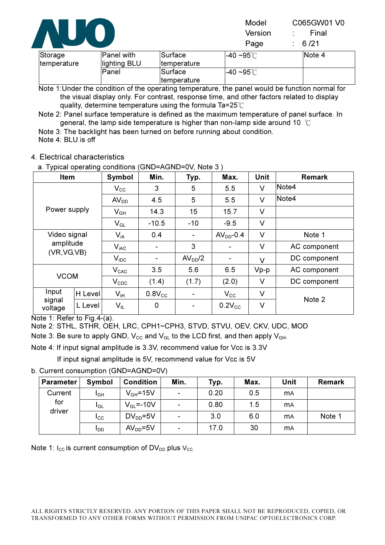

| Storage<br>Itemperature | Panel with<br>lighting BLU | Surface<br>Itemperature | $-40$ ~95°C | INote 4 |
|-------------------------|----------------------------|-------------------------|-------------|---------|
|                         | lPanel                     | <b>Surface</b>          | $-40$ ~95°C |         |
|                         |                            | <u>Itemperature</u>     |             |         |

Note 1:Under the condition of the operating temperature, the panel would be function normal for the visual display only. For contrast, response time, and other factors related to display quality, determine temperature using the formula Ta=25 $^{\circ}\text{C}$ 

Note 2: Panel surface temperature is defined as the maximum temperature of panel surface. In general, the lamp side temperature is higher than non-lamp side around 10  $^{\circ}$ C

Note 3: The backlight has been turned on before running about condition. Note 4: BLU is off

#### 4. Electrical characteristics

Item | Symbol | Min. | Typ. | Max. | Unit | Remark  $\rm V_{\rm CC}$  | 3 | 5 | 5.5 | V |<code>Note4</code>  $\mathsf{AV_{DD}}$   $\begin{array}{|c|c|c|c|c|} \hline \end{array}$  4.5  $\begin{array}{|c|c|c|c|} \hline \end{array}$  5.5  $\begin{array}{|c|c|c|c|} \hline \end{array}$  V  $\begin{array}{|c|c|c|c|} \hline \end{array}$  Note4 Power supply  $V_{GH}$  14.3 15 15.7 V V<sub>GL</sub> | -10.5 | -10 | -9.5 | V  $V_{iA}$  | 0.4 | - | AV<sub>DD</sub>-0.4 | V | Note 1  $V_{\text{iac}}$  - 3 - V AC component Video signal amplitude  $(VR, VG, VB)$   $V_{iDC}$  -  $AV_{DD}/2$  -  $V$  DC component VCOM  $V_{CAC}$  3.5 5.6 6.5 Vp-p AC component VCOM  $V_{CDC}$  (1.4) (1.7) (2.0) V DC component H Level VIH 0.8VCC - VCC V Input signal voltage  $|$ L Level V<sub>IL</sub> 0  $|$  - 0.2V<sub>cc</sub> V Note 2

a. Typical operating conditions (GND=AGND=0V, Note 3 )

Note 1: Refer to Fig.4-(a).

Note 2: STHL, STHR, OEH, LRC, CPH1~CPH3, STVD, STVU, OEV, CKV, UDC, MOD

Note 3: Be sure to apply GND,  $V_{CC}$  and  $V_{GL}$  to the LCD first, and then apply  $V_{GH}$ .

Note 4: If input signal amplitude is 3.3V, recommend value for Vcc is 3.3V

If input signal amplitude is 5V, recommend value for Vcc is 5V

#### b. Current consumption (GND=AGND=0V)

| <b>Parameter</b> | Symbol       | <b>Condition</b>       | Min.           | Typ. | Max. | Unit       | <b>Remark</b> |
|------------------|--------------|------------------------|----------------|------|------|------------|---------------|
| Current          | IGН          | $V_{GH} = 15V$         | $\blacksquare$ | 0.20 | 0.5  | <b>m</b> A |               |
| for<br>driver    | $I_{GL}$     | $V_{\text{GI}} = -10V$ | $\blacksquare$ | 0.80 | 1.5  | <b>m</b> A |               |
|                  | $_{\rm lcc}$ | $DV_{DD} = 5V$         | ۰              | 3.0  | 6.0  | <b>m</b> A | Note 1        |
|                  | ldd          | $AVDD=5V$              | $\blacksquare$ | 17.0 | 30   | <b>m</b> A |               |

Note 1:  $I_{CC}$  is current consumption of DV<sub>DD</sub> plus V<sub>CC.</sub>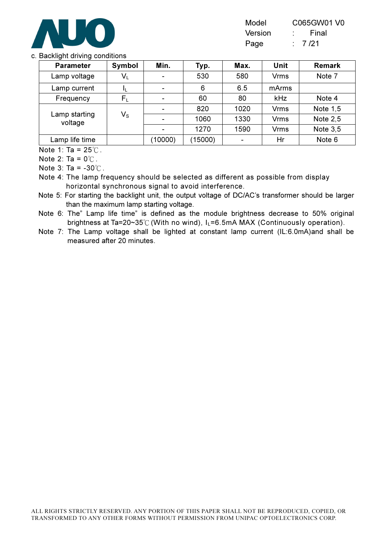

| Model   | C065GW01 V0       |
|---------|-------------------|
| Version | Final             |
| Page    | $\therefore$ 7/21 |

#### c. Backlight driving conditions

| <b>Parameter</b>         | Symbol           | Min.                     | Typ.    | Max. | <b>Unit</b> | <b>Remark</b> |
|--------------------------|------------------|--------------------------|---------|------|-------------|---------------|
| Lamp voltage             | $V_L$            | ۰                        | 530     | 580  | <b>Vrms</b> | Note 7        |
| Lamp current             | ΠL               | $\blacksquare$           | 6       | 6.5  | mArms       |               |
| Frequency                | $F_L$            | $\blacksquare$           | 60      | 80   | kHz         | Note 4        |
|                          |                  | $\overline{\phantom{0}}$ | 820     | 1020 | <b>Vrms</b> | Note 1,5      |
| Lamp starting<br>voltage | $V_{\texttt{S}}$ |                          | 1060    | 1330 | <b>Vrms</b> | Note $2,5$    |
|                          |                  | ۰                        | 1270    | 1590 | <b>Vrms</b> | Note $3,5$    |
| Lamp life time           |                  | (10000)                  | (15000) |      | Hr          | Note 6        |

Note 1: Ta =  $25^{\circ}$ C.

Note 2: Ta =  $0^{\circ}$ C.

Note 3: Ta =  $-30^{\circ}$ C.

Note 4: The lamp frequency should be selected as different as possible from display horizontal synchronous signal to avoid interference.

Note 5: For starting the backlight unit, the output voltage of DC/AC's transformer should be larger than the maximum lamp starting voltage.

Note 6: The" Lamp life time" is defined as the module brightness decrease to 50% original brightness at Ta=20~35°C (With no wind),  $I_L$ =6.5mA MAX (Continuously operation).

Note 7: The Lamp voltage shall be lighted at constant lamp current (IL:6.0mA)and shall be measured after 20 minutes.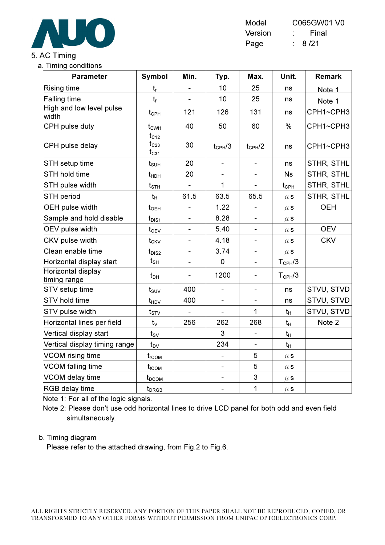

| Model   | C065GW01 V0 |
|---------|-------------|
| Version | Final       |
| Page    | 8 / 21      |

## 5. AC Timing

#### a. Timing conditions

| <b>Parameter</b>                   | <b>Symbol</b>                          | Min.                     | Typ.                         | Max.                         | Unit.              | <b>Remark</b>     |
|------------------------------------|----------------------------------------|--------------------------|------------------------------|------------------------------|--------------------|-------------------|
| <b>Rising time</b>                 | $t_{\sf r}$                            |                          | 10                           | 25                           | ns                 | Note 1            |
| <b>Falling time</b>                | $t_f$                                  | $\blacksquare$           | 10                           | 25                           | ns                 | Note 1            |
| High and low level pulse<br>width  | $t_{\scriptscriptstyle{\mathrm{CPH}}}$ | 121                      | 126                          | 131                          | ns                 | CPH1~CPH3         |
| CPH pulse duty                     | $t_{CWH}$                              | 40                       | 50                           | 60                           | $\frac{0}{0}$      | CPH1~CPH3         |
| CPH pulse delay                    | $t_{C12}$<br>$t_{C23}$<br>$t_{C31}$    | 30                       | $t_{CPH}$ /3                 | $t_{CPH}$ /2                 | ns                 | CPH1~CPH3         |
| STH setup time                     | $t_{\texttt{SUH}}$                     | 20                       | $\qquad \qquad \blacksquare$ | $\overline{\phantom{0}}$     | ns                 | STHR, STHL        |
| STH hold time                      | $t_{\sf HDH}$                          | 20                       |                              |                              | <b>Ns</b>          | <b>STHR, STHL</b> |
| STH pulse width                    | $t_{\scriptscriptstyle\text{STH}}$     | $\blacksquare$           | $\mathbf{1}$                 | $\blacksquare$               | $t_{\text{CPH}}$   | STHR, STHL        |
| STH period                         | $t_H$                                  | 61.5                     | 63.5                         | 65.5                         | $\mu$ s            | STHR, STHL        |
| OEH pulse width                    | $t_{\sf OEH}$                          | $\overline{\phantom{0}}$ | 1.22                         | $\qquad \qquad \blacksquare$ | $\mu$ s            | <b>OEH</b>        |
| Sample and hold disable            | $t_{DIS1}$                             | $\blacksquare$           | 8.28                         | $\blacksquare$               | $\mu$ s            |                   |
| OEV pulse width                    | $t_{\rm OEV}$                          | ۰                        | 5.40                         | $\overline{\phantom{0}}$     | $\mu$ s            | <b>OEV</b>        |
| CKV pulse width                    | $t_{CKV}$                              |                          | 4.18                         | $\blacksquare$               | $\mu$ s            | <b>CKV</b>        |
| Clean enable time                  | $t_{DIS2}$                             |                          | 3.74                         |                              | $\mu$ s            |                   |
| Horizontal display start           | $t_{\rm SH}$                           |                          | $\overline{0}$               | $\qquad \qquad \blacksquare$ | $T_{\text{CPH}}/3$ |                   |
| Horizontal display<br>timing range | $t_{DH}$                               |                          | 1200                         | ÷,                           | $T_{\text{CPH}}/3$ |                   |
| STV setup time                     | $t_{\scriptscriptstyle\text{SUV}}$     | 400                      | $\blacksquare$               | $\blacksquare$               | ns                 | STVU, STVD        |
| STV hold time                      | $t_{HDV}$                              | 400                      | $\overline{\phantom{0}}$     | $\blacksquare$               | ns                 | STVU, STVD        |
| STV pulse width                    | $t_{STV}$                              | $\blacksquare$           | $\blacksquare$               | $\mathbf{1}$                 | $t_H$              | STVU, STVD        |
| Horizontal lines per field         | $t_{\vee}$                             | 256                      | 262                          | 268                          | $t_H$              | Note 2            |
| Vertical display start             | $t_{\rm SV}$                           |                          | 3                            | $\overline{a}$               | $t_H$              |                   |
| Vertical display timing range      | $t_{\text{DV}}$                        |                          | 234                          |                              | $t_{H}$            |                   |
| <b>VCOM</b> rising time            | $t_{\rm rCOM}$                         |                          |                              | 5                            | $\mu$ s            |                   |
| VCOM falling time                  | $t_{\scriptscriptstyle \text{fCOM}}$   |                          | $\qquad \qquad \blacksquare$ | 5                            | $\mu$ s            |                   |
| VCOM delay time                    | $t_{DCOM}$                             |                          | $\qquad \qquad \blacksquare$ | 3                            | $\mu$ s            |                   |
| RGB delay time                     | $t_{DRGB}$                             |                          | -                            | $\mathbf{1}$                 | $\mu$ s            |                   |

Note 1: For all of the logic signals.

Note 2: Please don't use odd horizontal lines to drive LCD panel for both odd and even field simultaneously.

#### b. Timing diagram

Please refer to the attached drawing, from Fig.2 to Fig.6.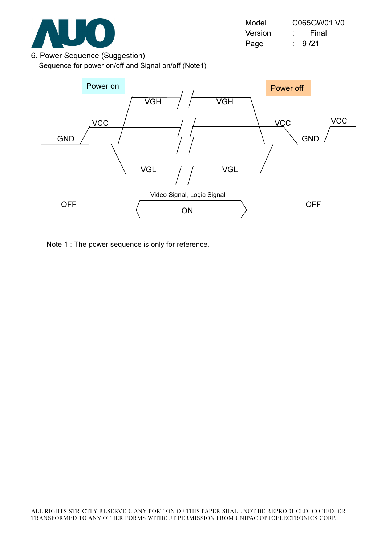

| Model   | C065GW01 V0 |
|---------|-------------|
| Version | Final       |
| Page    | 9/21        |

6. Power Sequence (Suggestion) Sequence for power on/off and Signal on/off (Note1)



Note 1 : The power sequence is only for reference.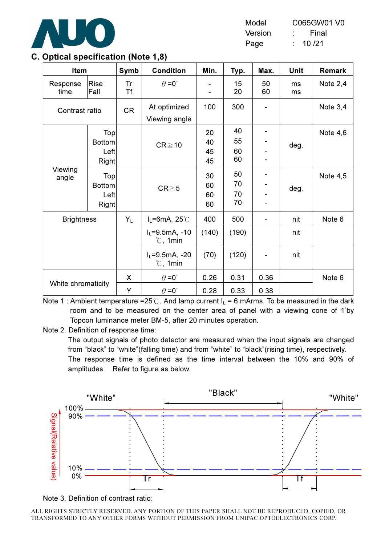

| Model   | C065GW01 V0 |
|---------|-------------|
| Version | Final       |
| Page    | 10 /21      |

| Item               |                                       | Symb      | <b>Condition</b>                        | Min.                 | Typ.                 | Max.     | Unit     | Remark     |
|--------------------|---------------------------------------|-----------|-----------------------------------------|----------------------|----------------------|----------|----------|------------|
| Response<br>time   | Rise<br>Fall                          | Tr<br>Τf  | $\theta = 0^{\circ}$                    |                      | 15<br>20             | 50<br>60 | ms<br>ms | Note $2,4$ |
| Contrast ratio     |                                       | <b>CR</b> | At optimized<br>Viewing angle           | 100                  | 300                  |          |          | Note $3,4$ |
|                    | Top<br><b>Bottom</b><br>Left<br>Right |           | $CR \ge 10$                             | 20<br>40<br>45<br>45 | 40<br>55<br>60<br>60 |          | deg.     | Note $4,6$ |
| Viewing<br>angle   | Top<br><b>Bottom</b><br>Left<br>Right |           | $CR \ge 5$                              | 30<br>60<br>60<br>60 | 50<br>70<br>70<br>70 |          | deg.     | Note $4,5$ |
| <b>Brightness</b>  |                                       | $Y_L$     | $I_L = 6mA$ , 25°C                      | 400                  | 500                  |          | nit      | Note 6     |
|                    |                                       |           | $I_L = 9.5mA, -10$<br>$\degree$ C, 1min | (140)                | (190)                |          | nit      |            |
|                    |                                       |           | $I_L = 9.5mA, -20$<br>$\degree$ C, 1min | (70)                 | (120)                |          | nit      |            |
|                    |                                       | X         | $\theta = 0^{\circ}$                    | 0.26                 | 0.31                 | 0.36     |          | Note 6     |
| White chromaticity |                                       | Υ         | $\theta = 0^{\circ}$                    | 0.28                 | 0.33                 | 0.38     |          |            |

#### C. Optical specification (Note 1,8)

Note 1 : Ambient temperature =25°C. And lamp current  $I_1$  = 6 mArms. To be measured in the dark room and to be measured on the center area of panel with a viewing cone of 1<sup>°</sup>by Topcon luminance meter BM-5, after 20 minutes operation.

Note 2. Definition of response time:

The output signals of photo detector are measured when the input signals are changed from "black" to "white"(falling time) and from "white" to "black"(rising time), respectively. The response time is defined as the time interval between the 10% and 90% of amplitudes. Refer to figure as below.



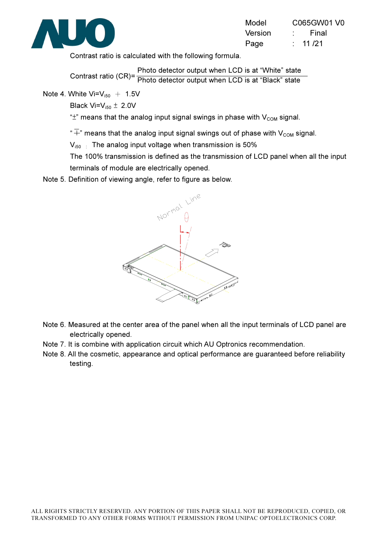

| Model   | C065GW01 V0     |
|---------|-----------------|
| Version | Final           |
| Page    | 11 /21<br>t - 1 |

Contrast ratio is calculated with the following formula.

Contrast ratio (CR)= Photo detector output when LCD is at "White" state Photo detector output when LCD is at "Black" state

Note 4. White  $Vi=V_{150} + 1.5V$ 

Black  $Vi=V_{i50} \pm 2.0V$ 

" $\pm$ " means that the analog input signal swings in phase with  $V_{COM}$  signal.

" $\overline{+}$ " means that the analog input signal swings out of phase with V<sub>cOM</sub> signal.

 $V_{150}$  : The analog input voltage when transmission is 50%

The 100% transmission is defined as the transmission of LCD panel when all the input terminals of module are electrically opened.

Note 5. Definition of viewing angle, refer to figure as below.



- Note 6. Measured at the center area of the panel when all the input terminals of LCD panel are electrically opened.
- Note 7. It is combine with application circuit which AU Optronics recommendation.
- Note 8. All the cosmetic, appearance and optical performance are guaranteed before reliability testing.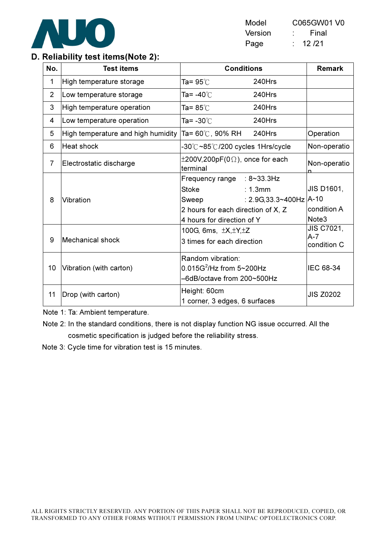

| Model   | C065GW01 V0 |
|---------|-------------|
| Version | Final       |
| Page    | 12 /21      |

### D. Reliability test items(Note 2):

| No.            | <b>Test items</b>                  | <b>Conditions</b>                                                                                                                                               | <b>Remark</b>                                            |
|----------------|------------------------------------|-----------------------------------------------------------------------------------------------------------------------------------------------------------------|----------------------------------------------------------|
| 1              | High temperature storage           | Ta= 95℃<br>240Hrs                                                                                                                                               |                                                          |
| $\overline{2}$ | Low temperature storage            | 240Hrs<br>Ta= -40℃                                                                                                                                              |                                                          |
| 3              | High temperature operation         | Ta= 85℃<br>240Hrs                                                                                                                                               |                                                          |
| 4              | Low temperature operation          | 240Hrs<br>Ta= -30℃                                                                                                                                              |                                                          |
| 5              | High temperature and high humidity | Ta= 60℃, 90% RH<br>240Hrs                                                                                                                                       | Operation                                                |
| 6              | Heat shock                         | -30℃~85℃/200 cycles 1Hrs/cycle                                                                                                                                  | Non-operatio                                             |
| $\overline{7}$ | Electrostatic discharge            | $\pm 200$ V,200pF(0 $\Omega$ ), once for each<br>terminal                                                                                                       | Non-operatio                                             |
| 8              | Vibration                          | Frequency range : 8~33.3Hz<br><b>Stoke</b><br>: 1.3mm<br>: $2.9G, 33.3 \sim 400Hz$<br>Sweep<br>2 hours for each direction of X, Z<br>4 hours for direction of Y | JIS D1601,<br>$A-10$<br>condition A<br>Note <sub>3</sub> |
| 9              | <b>Mechanical shock</b>            | 100G, 6ms, $\pm X, \pm Y, \pm Z$<br>3 times for each direction                                                                                                  | JIS C7021,<br>A-7<br>condition C                         |
| 10             | Vibration (with carton)            | Random vibration:<br>$0.015G^2$ /Hz from 5~200Hz<br>-6dB/octave from 200~500Hz                                                                                  | <b>IEC 68-34</b>                                         |
| 11             | Drop (with carton)                 | Height: 60cm<br>1 corner, 3 edges, 6 surfaces                                                                                                                   | <b>JIS Z0202</b>                                         |

Note 1: Ta: Ambient temperature.

Note 2: In the standard conditions, there is not display function NG issue occurred. All the cosmetic specification is judged before the reliability stress.

Note 3: Cycle time for vibration test is 15 minutes.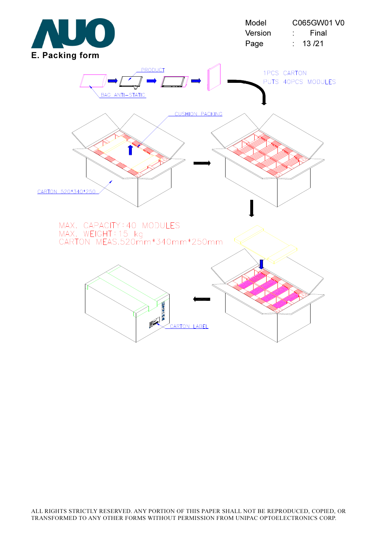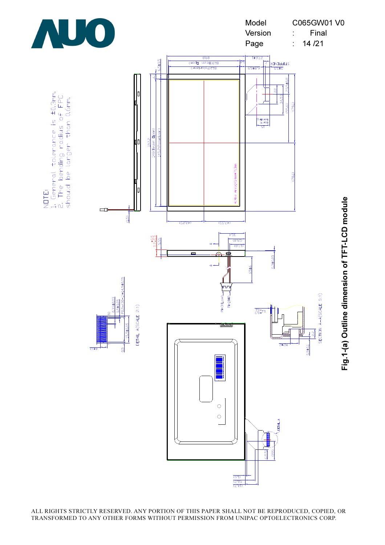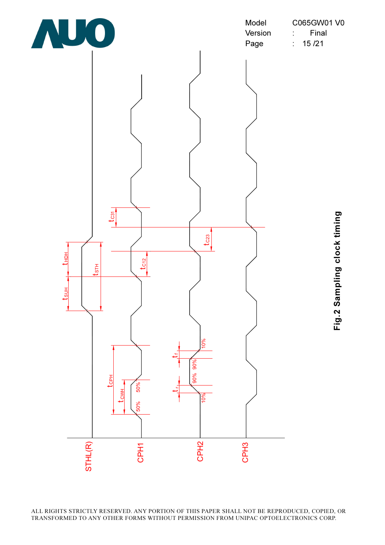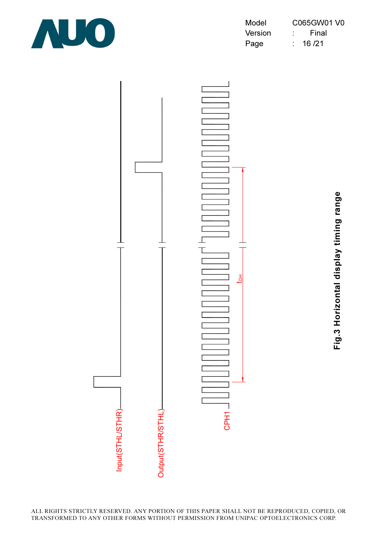

| Model   | C065GW01 V0 |
|---------|-------------|
| Version | Final       |
| Page    | 16 / 21     |



Fig.3 Horizontal display timing range Fig.3 Horizontal display timing range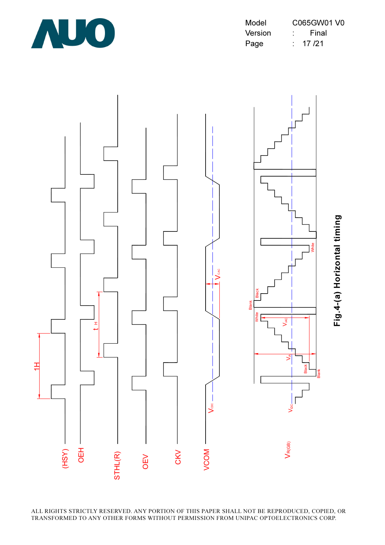

| Model   | C065GW01 V0 |  |
|---------|-------------|--|
| Version | Final       |  |
| Page    | 17 /21      |  |

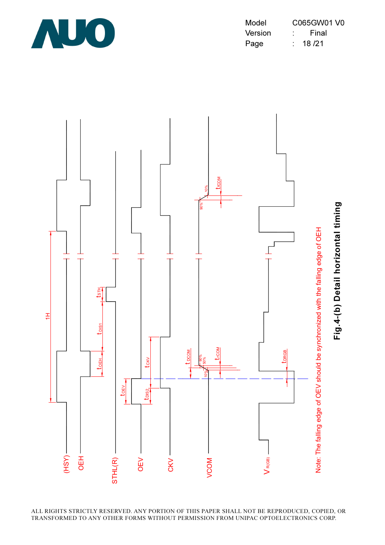

Model C065GW01 V0 Version : Final Page : 18/21

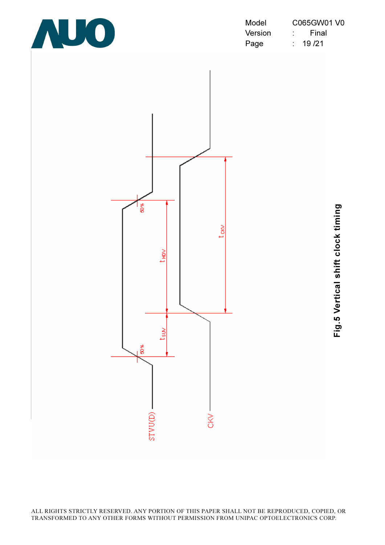

| Model   | C065GW01 V0 |  |
|---------|-------------|--|
| Version | Final       |  |
| Page    | 19 / 21     |  |

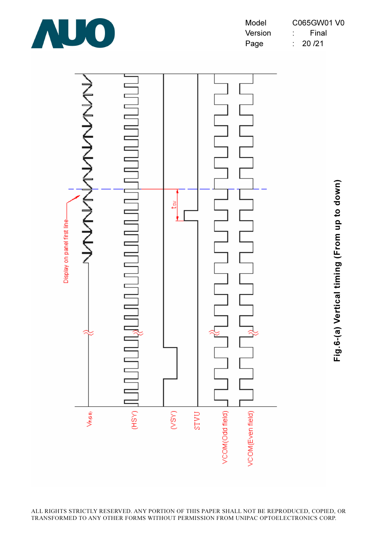